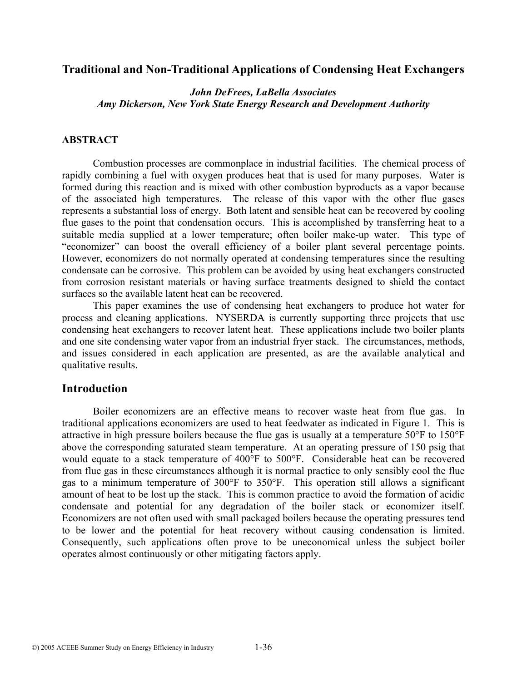### **Traditional and Non-Traditional Applications of Condensing Heat Exchangers**

*John DeFrees, LaBella Associates Amy Dickerson, New York State Energy Research and Development Authority* 

#### **ABSTRACT**

Combustion processes are commonplace in industrial facilities. The chemical process of rapidly combining a fuel with oxygen produces heat that is used for many purposes. Water is formed during this reaction and is mixed with other combustion byproducts as a vapor because of the associated high temperatures. The release of this vapor with the other flue gases represents a substantial loss of energy. Both latent and sensible heat can be recovered by cooling flue gases to the point that condensation occurs. This is accomplished by transferring heat to a suitable media supplied at a lower temperature; often boiler make-up water. This type of "economizer" can boost the overall efficiency of a boiler plant several percentage points. However, economizers do not normally operated at condensing temperatures since the resulting condensate can be corrosive. This problem can be avoided by using heat exchangers constructed from corrosion resistant materials or having surface treatments designed to shield the contact surfaces so the available latent heat can be recovered.

This paper examines the use of condensing heat exchangers to produce hot water for process and cleaning applications. NYSERDA is currently supporting three projects that use condensing heat exchangers to recover latent heat. These applications include two boiler plants and one site condensing water vapor from an industrial fryer stack. The circumstances, methods, and issues considered in each application are presented, as are the available analytical and qualitative results.

## **Introduction**

Boiler economizers are an effective means to recover waste heat from flue gas. In traditional applications economizers are used to heat feedwater as indicated in Figure 1. This is attractive in high pressure boilers because the flue gas is usually at a temperature 50°F to 150°F above the corresponding saturated steam temperature. At an operating pressure of 150 psig that would equate to a stack temperature of 400°F to 500°F. Considerable heat can be recovered from flue gas in these circumstances although it is normal practice to only sensibly cool the flue gas to a minimum temperature of 300°F to 350°F. This operation still allows a significant amount of heat to be lost up the stack. This is common practice to avoid the formation of acidic condensate and potential for any degradation of the boiler stack or economizer itself. Economizers are not often used with small packaged boilers because the operating pressures tend to be lower and the potential for heat recovery without causing condensation is limited. Consequently, such applications often prove to be uneconomical unless the subject boiler operates almost continuously or other mitigating factors apply.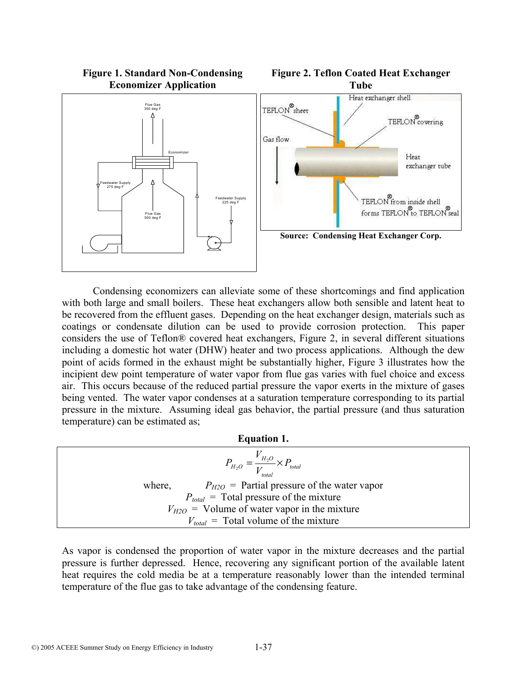

Condensing economizers can alleviate some of these shortcomings and find application with both large and small boilers. These heat exchangers allow both sensible and latent heat to be recovered from the effluent gases. Depending on the heat exchanger design, materials such as coatings or condensate dilution can be used to provide corrosion protection. This paper considers the use of Teflon® covered heat exchangers, Figure 2, in several different situations including a domestic hot water (DHW) heater and two process applications. Although the dew point of acids formed in the exhaust might be substantially higher, Figure 3 illustrates how the incipient dew point temperature of water vapor from flue gas varies with fuel choice and excess air. This occurs because of the reduced partial pressure the vapor exerts in the mixture of gases being vented. The water vapor condenses at a saturation temperature corresponding to its partial pressure in the mixture. Assuming ideal gas behavior, the partial pressure (and thus saturation temperature) can be estimated as;

#### **Equation 1.**

| $P_{H_2O} = \frac{V_{H_2O}}{V} \times P_{total}$ |                                                  |  |  |  |
|--------------------------------------------------|--------------------------------------------------|--|--|--|
| where,                                           | $P_{H2O}$ = Partial pressure of the water vapor  |  |  |  |
|                                                  | $P_{total}$ = Total pressure of the mixture      |  |  |  |
|                                                  | $V_{H2O}$ = Volume of water vapor in the mixture |  |  |  |
|                                                  | $V_{total}$ = Total volume of the mixture        |  |  |  |

As vapor is condensed the proportion of water vapor in the mixture decreases and the partial pressure is further depressed. Hence, recovering any significant portion of the available latent heat requires the cold media be at a temperature reasonably lower than the intended terminal temperature of the flue gas to take advantage of the condensing feature.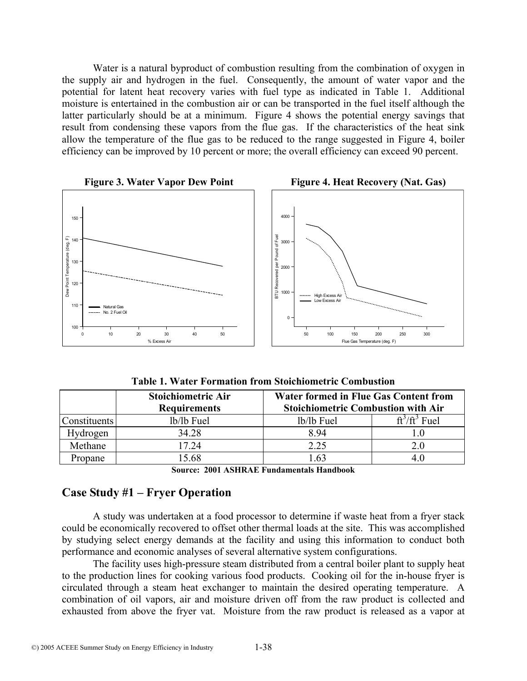Water is a natural byproduct of combustion resulting from the combination of oxygen in the supply air and hydrogen in the fuel. Consequently, the amount of water vapor and the potential for latent heat recovery varies with fuel type as indicated in Table 1. Additional moisture is entertained in the combustion air or can be transported in the fuel itself although the latter particularly should be at a minimum. Figure 4 shows the potential energy savings that result from condensing these vapors from the flue gas. If the characteristics of the heat sink allow the temperature of the flue gas to be reduced to the range suggested in Figure 4, boiler efficiency can be improved by 10 percent or more; the overall efficiency can exceed 90 percent.



**Table 1. Water Formation from Stoichiometric Combustion** 

|                     | <b>Stoichiometric Air</b> | <b>Water formed in Flue Gas Content from</b> |                  |
|---------------------|---------------------------|----------------------------------------------|------------------|
|                     | <b>Requirements</b>       | <b>Stoichiometric Combustion with Air</b>    |                  |
| <b>Constituents</b> | lb/lb Fuel                | lb/lb Fuel                                   | $ft^3/ft^3$ Fuel |
| Hydrogen            | 34.28                     | 8.94                                         |                  |
| Methane             | 17.24                     | 2.25                                         | $2.0\,$          |
| Propane             | 15.68                     | .63                                          | 4.U              |

**Source: 2001 ASHRAE Fundamentals Handbook** 

# **Case Study #1 – Fryer Operation**

A study was undertaken at a food processor to determine if waste heat from a fryer stack could be economically recovered to offset other thermal loads at the site. This was accomplished by studying select energy demands at the facility and using this information to conduct both performance and economic analyses of several alternative system configurations.

The facility uses high-pressure steam distributed from a central boiler plant to supply heat to the production lines for cooking various food products. Cooking oil for the in-house fryer is circulated through a steam heat exchanger to maintain the desired operating temperature. A combination of oil vapors, air and moisture driven off from the raw product is collected and exhausted from above the fryer vat. Moisture from the raw product is released as a vapor at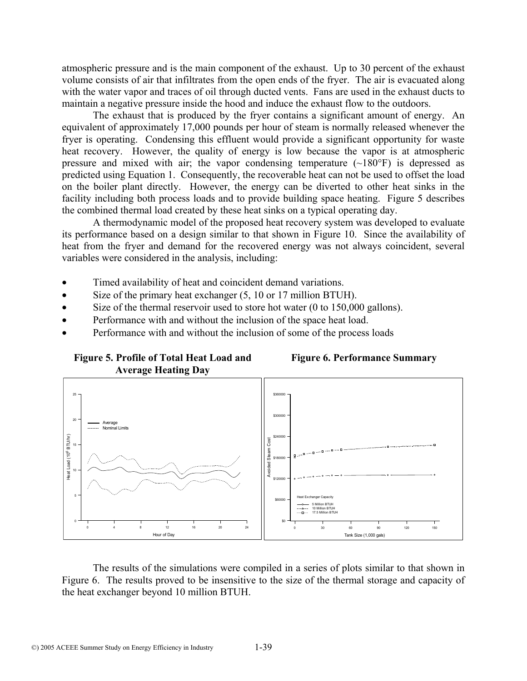atmospheric pressure and is the main component of the exhaust. Up to 30 percent of the exhaust volume consists of air that infiltrates from the open ends of the fryer. The air is evacuated along with the water vapor and traces of oil through ducted vents. Fans are used in the exhaust ducts to maintain a negative pressure inside the hood and induce the exhaust flow to the outdoors.

The exhaust that is produced by the fryer contains a significant amount of energy. An equivalent of approximately 17,000 pounds per hour of steam is normally released whenever the fryer is operating. Condensing this effluent would provide a significant opportunity for waste heat recovery. However, the quality of energy is low because the vapor is at atmospheric pressure and mixed with air; the vapor condensing temperature  $(\sim 180^\circ F)$  is depressed as predicted using Equation 1. Consequently, the recoverable heat can not be used to offset the load on the boiler plant directly. However, the energy can be diverted to other heat sinks in the facility including both process loads and to provide building space heating. Figure 5 describes the combined thermal load created by these heat sinks on a typical operating day.

A thermodynamic model of the proposed heat recovery system was developed to evaluate its performance based on a design similar to that shown in Figure 10. Since the availability of heat from the fryer and demand for the recovered energy was not always coincident, several variables were considered in the analysis, including:

- Timed availability of heat and coincident demand variations.
- Size of the primary heat exchanger (5, 10 or 17 million BTUH).
- Size of the thermal reservoir used to store hot water (0 to 150,000 gallons).
- Performance with and without the inclusion of the space heat load.
- Performance with and without the inclusion of some of the process loads







The results of the simulations were compiled in a series of plots similar to that shown in Figure 6. The results proved to be insensitive to the size of the thermal storage and capacity of the heat exchanger beyond 10 million BTUH.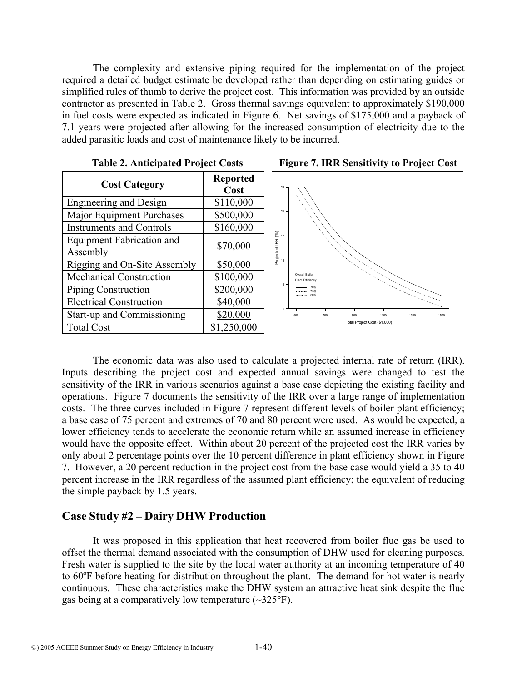The complexity and extensive piping required for the implementation of the project required a detailed budget estimate be developed rather than depending on estimating guides or simplified rules of thumb to derive the project cost. This information was provided by an outside contractor as presented in Table 2. Gross thermal savings equivalent to approximately \$190,000 in fuel costs were expected as indicated in Figure 6. Net savings of \$175,000 and a payback of 7.1 years were projected after allowing for the increased consumption of electricity due to the added parasitic loads and cost of maintenance likely to be incurred.

| <b>Cost Category</b>                         | <b>Reported</b><br>Cost | $25 -$                                                           |
|----------------------------------------------|-------------------------|------------------------------------------------------------------|
| <b>Engineering and Design</b>                | \$110,000               |                                                                  |
| Major Equipment Purchases                    | \$500,000               | 21                                                               |
| <b>Instruments and Controls</b>              | \$160,000               |                                                                  |
| <b>Equipment Fabrication and</b><br>Assembly | \$70,000                | Projected IRR $(^{\circ}\%)$<br>$\vec{\omega}$<br>$\vec{\omega}$ |
| Rigging and On-Site Assembly                 | \$50,000                |                                                                  |
| <b>Mechanical Construction</b>               | \$100,000               | $\frac{0}{P}$                                                    |
| Piping Construction                          | \$200,000               | $9 -$                                                            |
| <b>Electrical Construction</b>               | \$40,000                |                                                                  |
| Start-up and Commissioning                   | \$20,000                | 500                                                              |
| <b>Total Cost</b>                            | \$1,250,000             |                                                                  |







The economic data was also used to calculate a projected internal rate of return (IRR). Inputs describing the project cost and expected annual savings were changed to test the sensitivity of the IRR in various scenarios against a base case depicting the existing facility and operations. Figure 7 documents the sensitivity of the IRR over a large range of implementation costs. The three curves included in Figure 7 represent different levels of boiler plant efficiency; a base case of 75 percent and extremes of 70 and 80 percent were used. As would be expected, a lower efficiency tends to accelerate the economic return while an assumed increase in efficiency would have the opposite effect. Within about 20 percent of the projected cost the IRR varies by only about 2 percentage points over the 10 percent difference in plant efficiency shown in Figure 7. However, a 20 percent reduction in the project cost from the base case would yield a 35 to 40 percent increase in the IRR regardless of the assumed plant efficiency; the equivalent of reducing the simple payback by 1.5 years.

## **Case Study #2 – Dairy DHW Production**

It was proposed in this application that heat recovered from boiler flue gas be used to offset the thermal demand associated with the consumption of DHW used for cleaning purposes. Fresh water is supplied to the site by the local water authority at an incoming temperature of 40 to 60ºF before heating for distribution throughout the plant. The demand for hot water is nearly continuous. These characteristics make the DHW system an attractive heat sink despite the flue gas being at a comparatively low temperature (~325°F).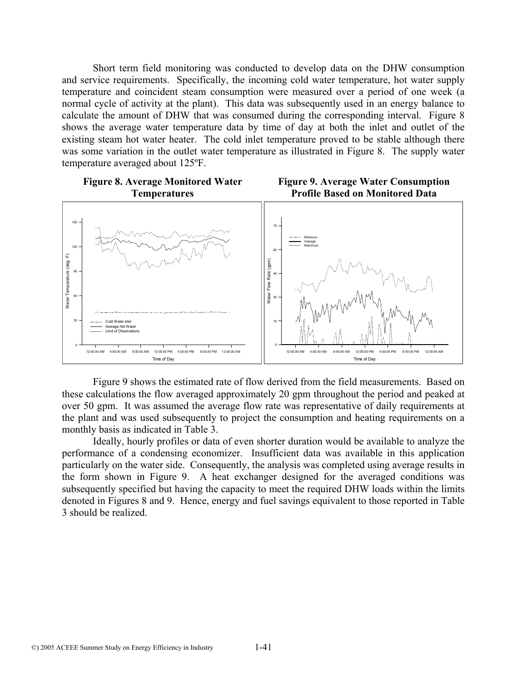Short term field monitoring was conducted to develop data on the DHW consumption and service requirements. Specifically, the incoming cold water temperature, hot water supply temperature and coincident steam consumption were measured over a period of one week (a normal cycle of activity at the plant). This data was subsequently used in an energy balance to calculate the amount of DHW that was consumed during the corresponding interval. Figure 8 shows the average water temperature data by time of day at both the inlet and outlet of the existing steam hot water heater. The cold inlet temperature proved to be stable although there was some variation in the outlet water temperature as illustrated in Figure 8. The supply water temperature averaged about 125ºF.



Figure 9 shows the estimated rate of flow derived from the field measurements. Based on these calculations the flow averaged approximately 20 gpm throughout the period and peaked at over 50 gpm. It was assumed the average flow rate was representative of daily requirements at the plant and was used subsequently to project the consumption and heating requirements on a monthly basis as indicated in Table 3.

Ideally, hourly profiles or data of even shorter duration would be available to analyze the performance of a condensing economizer. Insufficient data was available in this application particularly on the water side. Consequently, the analysis was completed using average results in the form shown in Figure 9. A heat exchanger designed for the averaged conditions was subsequently specified but having the capacity to meet the required DHW loads within the limits denoted in Figures 8 and 9. Hence, energy and fuel savings equivalent to those reported in Table 3 should be realized.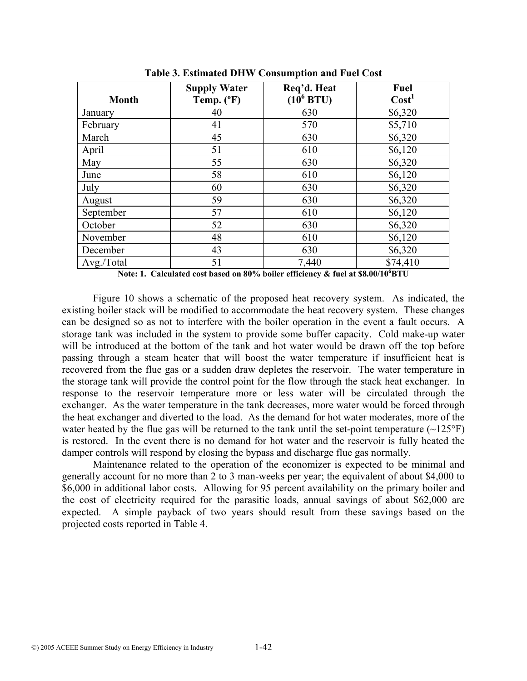| <b>Month</b> | <b>Supply Water</b><br>Temp. (°F) | Req'd. Heat<br>$(10^6$ BTU) | Fuel<br>Cost <sup>1</sup> |
|--------------|-----------------------------------|-----------------------------|---------------------------|
| January      | 40                                | 630                         | \$6,320                   |
| February     | 41                                | 570                         | \$5,710                   |
| March        | 45                                | 630                         | \$6,320                   |
| April        | 51                                | 610                         | \$6,120                   |
| May          | 55                                | 630                         | \$6,320                   |
| June         | 58                                | 610                         | \$6,120                   |
| July         | 60                                | 630                         | \$6,320                   |
| August       | 59                                | 630                         | \$6,320                   |
| September    | 57                                | 610                         | \$6,120                   |
| October      | 52                                | 630                         | \$6,320                   |
| November     | 48                                | 610                         | \$6,120                   |
| December     | 43                                | 630                         | \$6,320                   |
| Avg./Total   | 51                                | 7,440                       | \$74,410                  |

**Table 3. Estimated DHW Consumption and Fuel Cost** 

**Note: 1. Calculated cost based on 80% boiler efficiency & fuel at \$8.00/10<sup>6</sup> BTU** 

Figure 10 shows a schematic of the proposed heat recovery system. As indicated, the existing boiler stack will be modified to accommodate the heat recovery system. These changes can be designed so as not to interfere with the boiler operation in the event a fault occurs. A storage tank was included in the system to provide some buffer capacity. Cold make-up water will be introduced at the bottom of the tank and hot water would be drawn off the top before passing through a steam heater that will boost the water temperature if insufficient heat is recovered from the flue gas or a sudden draw depletes the reservoir. The water temperature in the storage tank will provide the control point for the flow through the stack heat exchanger. In response to the reservoir temperature more or less water will be circulated through the exchanger. As the water temperature in the tank decreases, more water would be forced through the heat exchanger and diverted to the load. As the demand for hot water moderates, more of the water heated by the flue gas will be returned to the tank until the set-point temperature  $(\sim 125^{\circ}F)$ is restored. In the event there is no demand for hot water and the reservoir is fully heated the damper controls will respond by closing the bypass and discharge flue gas normally.

 Maintenance related to the operation of the economizer is expected to be minimal and generally account for no more than 2 to 3 man-weeks per year; the equivalent of about \$4,000 to \$6,000 in additional labor costs. Allowing for 95 percent availability on the primary boiler and the cost of electricity required for the parasitic loads, annual savings of about \$62,000 are expected. A simple payback of two years should result from these savings based on the projected costs reported in Table 4.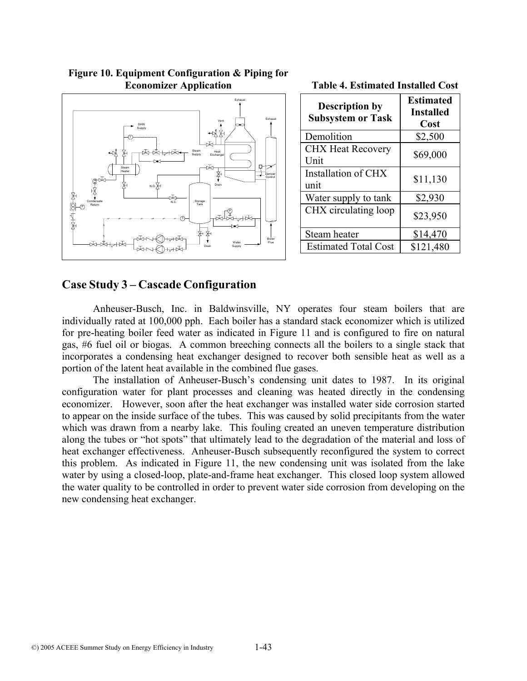

**Figure 10. Equipment Configuration & Piping for Economizer Application** 

| <b>Description by</b><br><b>Subsystem or Task</b> | <b>Estimated</b><br><b>Installed</b><br>Cost |
|---------------------------------------------------|----------------------------------------------|
| Demolition                                        | \$2,500                                      |
| <b>CHX Heat Recovery</b><br>Unit                  | \$69,000                                     |
| Installation of CHX<br>unit                       | \$11,130                                     |
| Water supply to tank                              | \$2,930                                      |

CHX circulating loop  $\Big|$  \$23,950

Steam heater 1 \$14,470 Estimated Total Cost | \$121,480

**Table 4. Estimated Installed Cost** 

### **Case Study 3 – Cascade Configuration**

Anheuser-Busch, Inc. in Baldwinsville, NY operates four steam boilers that are individually rated at 100,000 pph. Each boiler has a standard stack economizer which is utilized for pre-heating boiler feed water as indicated in Figure 11 and is configured to fire on natural gas, #6 fuel oil or biogas. A common breeching connects all the boilers to a single stack that incorporates a condensing heat exchanger designed to recover both sensible heat as well as a portion of the latent heat available in the combined flue gases.

The installation of Anheuser-Busch's condensing unit dates to 1987. In its original configuration water for plant processes and cleaning was heated directly in the condensing economizer. However, soon after the heat exchanger was installed water side corrosion started to appear on the inside surface of the tubes. This was caused by solid precipitants from the water which was drawn from a nearby lake. This fouling created an uneven temperature distribution along the tubes or "hot spots" that ultimately lead to the degradation of the material and loss of heat exchanger effectiveness. Anheuser-Busch subsequently reconfigured the system to correct this problem. As indicated in Figure 11, the new condensing unit was isolated from the lake water by using a closed-loop, plate-and-frame heat exchanger. This closed loop system allowed the water quality to be controlled in order to prevent water side corrosion from developing on the new condensing heat exchanger.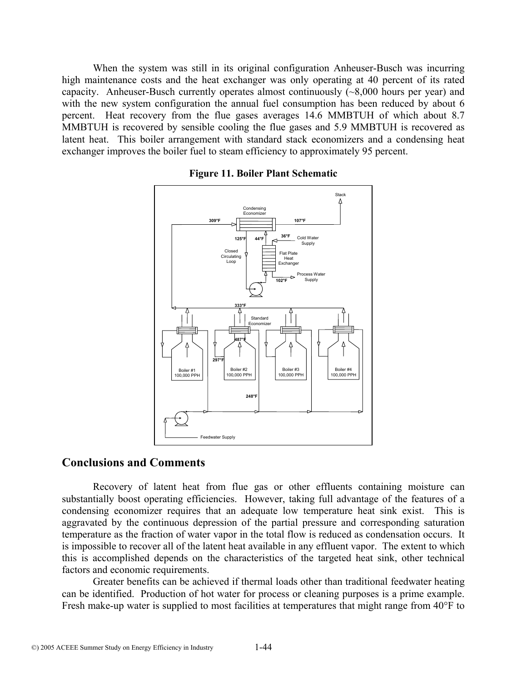When the system was still in its original configuration Anheuser-Busch was incurring high maintenance costs and the heat exchanger was only operating at 40 percent of its rated capacity. Anheuser-Busch currently operates almost continuously (~8,000 hours per year) and with the new system configuration the annual fuel consumption has been reduced by about 6 percent. Heat recovery from the flue gases averages 14.6 MMBTUH of which about 8.7 MMBTUH is recovered by sensible cooling the flue gases and 5.9 MMBTUH is recovered as latent heat. This boiler arrangement with standard stack economizers and a condensing heat exchanger improves the boiler fuel to steam efficiency to approximately 95 percent.



**Figure 11. Boiler Plant Schematic**

#### **Conclusions and Comments**

Recovery of latent heat from flue gas or other effluents containing moisture can substantially boost operating efficiencies. However, taking full advantage of the features of a condensing economizer requires that an adequate low temperature heat sink exist. This is aggravated by the continuous depression of the partial pressure and corresponding saturation temperature as the fraction of water vapor in the total flow is reduced as condensation occurs. It is impossible to recover all of the latent heat available in any effluent vapor. The extent to which this is accomplished depends on the characteristics of the targeted heat sink, other technical factors and economic requirements.

Greater benefits can be achieved if thermal loads other than traditional feedwater heating can be identified. Production of hot water for process or cleaning purposes is a prime example. Fresh make-up water is supplied to most facilities at temperatures that might range from 40°F to